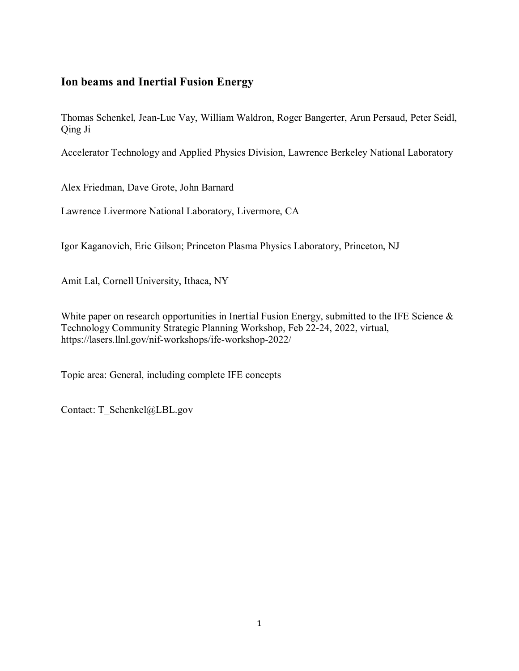# **Ion beams and Inertial Fusion Energy**

Thomas Schenkel, Jean-Luc Vay, William Waldron, Roger Bangerter, Arun Persaud, Peter Seidl, Qing Ji

Accelerator Technology and Applied Physics Division, Lawrence Berkeley National Laboratory

Alex Friedman, Dave Grote, John Barnard

Lawrence Livermore National Laboratory, Livermore, CA

Igor Kaganovich, Eric Gilson; Princeton Plasma Physics Laboratory, Princeton, NJ

Amit Lal, Cornell University, Ithaca, NY

White paper on research opportunities in Inertial Fusion Energy, submitted to the IFE Science & Technology Community Strategic Planning Workshop, Feb 22-24, 2022, virtual, https://lasers.llnl.gov/nif-workshops/ife-workshop-2022/

Topic area: General, including complete IFE concepts

Contact: T\_Schenkel@LBL.gov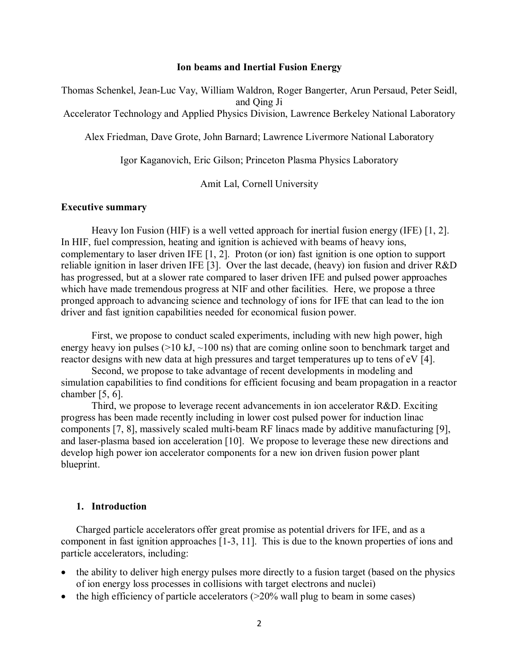#### **Ion beams and Inertial Fusion Energy**

Thomas Schenkel, Jean-Luc Vay, William Waldron, Roger Bangerter, Arun Persaud, Peter Seidl, and Qing Ji

Accelerator Technology and Applied Physics Division, Lawrence Berkeley National Laboratory

Alex Friedman, Dave Grote, John Barnard; Lawrence Livermore National Laboratory

Igor Kaganovich, Eric Gilson; Princeton Plasma Physics Laboratory

Amit Lal, Cornell University

#### **Executive summary**

Heavy Ion Fusion (HIF) is a well vetted approach for inertial fusion energy (IFE) [1, 2]. In HIF, fuel compression, heating and ignition is achieved with beams of heavy ions, complementary to laser driven IFE [1, 2]. Proton (or ion) fast ignition is one option to support reliable ignition in laser driven IFE [3]. Over the last decade, (heavy) ion fusion and driver R&D has progressed, but at a slower rate compared to laser driven IFE and pulsed power approaches which have made tremendous progress at NIF and other facilities. Here, we propose a three pronged approach to advancing science and technology of ions for IFE that can lead to the ion driver and fast ignition capabilities needed for economical fusion power.

First, we propose to conduct scaled experiments, including with new high power, high energy heavy ion pulses ( $>10$  kJ,  $\sim$ 100 ns) that are coming online soon to benchmark target and reactor designs with new data at high pressures and target temperatures up to tens of eV [4].

Second, we propose to take advantage of recent developments in modeling and simulation capabilities to find conditions for efficient focusing and beam propagation in a reactor chamber  $[5, 6]$ .

Third, we propose to leverage recent advancements in ion accelerator R&D. Exciting progress has been made recently including in lower cost pulsed power for induction linac components [7, 8], massively scaled multi-beam RF linacs made by additive manufacturing [9], and laser-plasma based ion acceleration [10]. We propose to leverage these new directions and develop high power ion accelerator components for a new ion driven fusion power plant blueprint.

### **1. Introduction**

Charged particle accelerators offer great promise as potential drivers for IFE, and as a component in fast ignition approaches [1-3, 11]. This is due to the known properties of ions and particle accelerators, including:

- the ability to deliver high energy pulses more directly to a fusion target (based on the physics of ion energy loss processes in collisions with target electrons and nuclei)
- the high efficiency of particle accelerators  $(>=20\%$  wall plug to beam in some cases)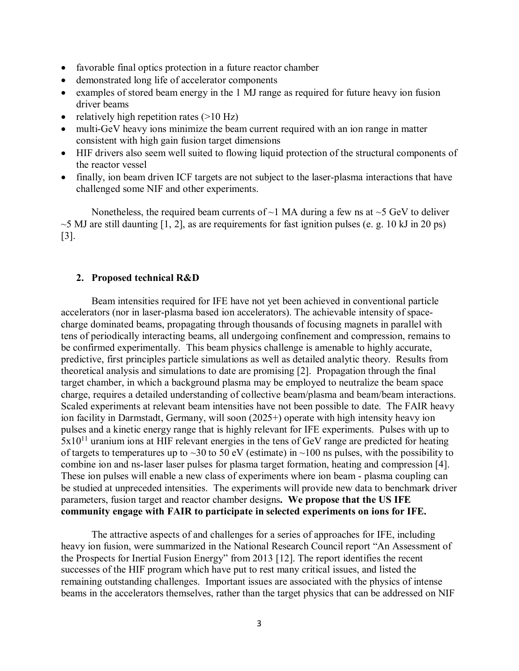- favorable final optics protection in a future reactor chamber
- demonstrated long life of accelerator components
- examples of stored beam energy in the 1 MJ range as required for future heavy ion fusion driver beams
- relatively high repetition rates  $(>10 \text{ Hz})$
- multi-GeV heavy ions minimize the beam current required with an ion range in matter consistent with high gain fusion target dimensions
- HIF drivers also seem well suited to flowing liquid protection of the structural components of the reactor vessel
- finally, ion beam driven ICF targets are not subject to the laser-plasma interactions that have challenged some NIF and other experiments.

Nonetheless, the required beam currents of  $\sim$ 1 MA during a few ns at  $\sim$ 5 GeV to deliver  $\sim$  5 MJ are still daunting [1, 2], as are requirements for fast ignition pulses (e. g. 10 kJ in 20 ps) [3].

### **2. Proposed technical R&D**

Beam intensities required for IFE have not yet been achieved in conventional particle accelerators (nor in laser-plasma based ion accelerators). The achievable intensity of spacecharge dominated beams, propagating through thousands of focusing magnets in parallel with tens of periodically interacting beams, all undergoing confinement and compression, remains to be confirmed experimentally. This beam physics challenge is amenable to highly accurate, predictive, first principles particle simulations as well as detailed analytic theory. Results from theoretical analysis and simulations to date are promising [2]. Propagation through the final target chamber, in which a background plasma may be employed to neutralize the beam space charge, requires a detailed understanding of collective beam/plasma and beam/beam interactions. Scaled experiments at relevant beam intensities have not been possible to date. The FAIR heavy ion facility in Darmstadt, Germany, will soon (2025+) operate with high intensity heavy ion pulses and a kinetic energy range that is highly relevant for IFE experiments. Pulses with up to  $5x10^{11}$  uranium ions at HIF relevant energies in the tens of GeV range are predicted for heating of targets to temperatures up to  $\sim$ 30 to 50 eV (estimate) in  $\sim$ 100 ns pulses, with the possibility to combine ion and ns-laser laser pulses for plasma target formation, heating and compression [4]. These ion pulses will enable a new class of experiments where ion beam - plasma coupling can be studied at unpreceded intensities. The experiments will provide new data to benchmark driver parameters, fusion target and reactor chamber designs**. We propose that the US IFE community engage with FAIR to participate in selected experiments on ions for IFE.**

The attractive aspects of and challenges for a series of approaches for IFE, including heavy ion fusion, were summarized in the National Research Council report "An Assessment of the Prospects for Inertial Fusion Energy" from 2013 [12]. The report identifies the recent successes of the HIF program which have put to rest many critical issues, and listed the remaining outstanding challenges. Important issues are associated with the physics of intense beams in the accelerators themselves, rather than the target physics that can be addressed on NIF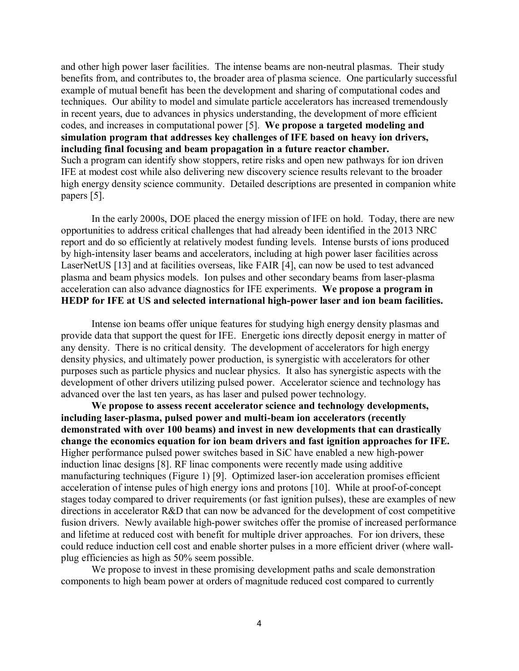and other high power laser facilities. The intense beams are non-neutral plasmas. Their study benefits from, and contributes to, the broader area of plasma science. One particularly successful example of mutual benefit has been the development and sharing of computational codes and techniques. Our ability to model and simulate particle accelerators has increased tremendously in recent years, due to advances in physics understanding, the development of more efficient codes, and increases in computational power [5]. **We propose a targeted modeling and simulation program that addresses key challenges of IFE based on heavy ion drivers, including final focusing and beam propagation in a future reactor chamber.**  Such a program can identify show stoppers, retire risks and open new pathways for ion driven IFE at modest cost while also delivering new discovery science results relevant to the broader high energy density science community.Detailed descriptions are presented in companion white papers [5].

In the early 2000s, DOE placed the energy mission of IFE on hold. Today, there are new opportunities to address critical challenges that had already been identified in the 2013 NRC report and do so efficiently at relatively modest funding levels. Intense bursts of ions produced by high-intensity laser beams and accelerators, including at high power laser facilities across LaserNetUS [13] and at facilities overseas, like FAIR [4], can now be used to test advanced plasma and beam physics models. Ion pulses and other secondary beams from laser-plasma acceleration can also advance diagnostics for IFE experiments. **We propose a program in HEDP for IFE at US and selected international high-power laser and ion beam facilities.** 

Intense ion beams offer unique features for studying high energy density plasmas and provide data that support the quest for IFE. Energetic ions directly deposit energy in matter of any density. There is no critical density. The development of accelerators for high energy density physics, and ultimately power production, is synergistic with accelerators for other purposes such as particle physics and nuclear physics. It also has synergistic aspects with the development of other drivers utilizing pulsed power. Accelerator science and technology has advanced over the last ten years, as has laser and pulsed power technology.

**We propose to assess recent accelerator science and technology developments, including laser-plasma, pulsed power and multi-beam ion accelerators (recently demonstrated with over 100 beams) and invest in new developments that can drastically change the economics equation for ion beam drivers and fast ignition approaches for IFE.** Higher performance pulsed power switches based in SiC have enabled a new high-power induction linac designs [8]. RF linac components were recently made using additive manufacturing techniques (Figure 1) [9]. Optimized laser-ion acceleration promises efficient acceleration of intense pules of high energy ions and protons [10]. While at proof-of-concept stages today compared to driver requirements (or fast ignition pulses), these are examples of new directions in accelerator R&D that can now be advanced for the development of cost competitive fusion drivers. Newly available high-power switches offer the promise of increased performance and lifetime at reduced cost with benefit for multiple driver approaches. For ion drivers, these could reduce induction cell cost and enable shorter pulses in a more efficient driver (where wallplug efficiencies as high as 50% seem possible.

We propose to invest in these promising development paths and scale demonstration components to high beam power at orders of magnitude reduced cost compared to currently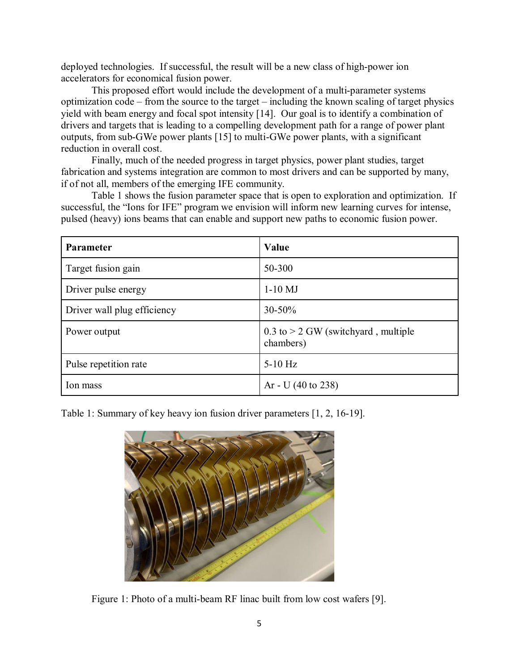deployed technologies. If successful, the result will be a new class of high-power ion accelerators for economical fusion power.

This proposed effort would include the development of a multi-parameter systems optimization code – from the source to the target – including the known scaling of target physics yield with beam energy and focal spot intensity [14]. Our goal is to identify a combination of drivers and targets that is leading to a compelling development path for a range of power plant outputs, from sub-GWe power plants [15] to multi-GWe power plants, with a significant reduction in overall cost.

Finally, much of the needed progress in target physics, power plant studies, target fabrication and systems integration are common to most drivers and can be supported by many, if of not all, members of the emerging IFE community.

Table 1 shows the fusion parameter space that is open to exploration and optimization. If successful, the "Ions for IFE" program we envision will inform new learning curves for intense, pulsed (heavy) ions beams that can enable and support new paths to economic fusion power.

| <b>Parameter</b>            | Value                                                |
|-----------------------------|------------------------------------------------------|
| Target fusion gain          | 50-300                                               |
| Driver pulse energy         | $1-10$ MJ                                            |
| Driver wall plug efficiency | $30 - 50%$                                           |
| Power output                | $0.3$ to $> 2$ GW (switchyard, multiple<br>chambers) |
| Pulse repetition rate       | $5-10$ Hz                                            |
| Ion mass                    | Ar - U $(40 \text{ to } 238)$                        |

Table 1: Summary of key heavy ion fusion driver parameters [1, 2, 16-19].



Figure 1: Photo of a multi-beam RF linac built from low cost wafers [9].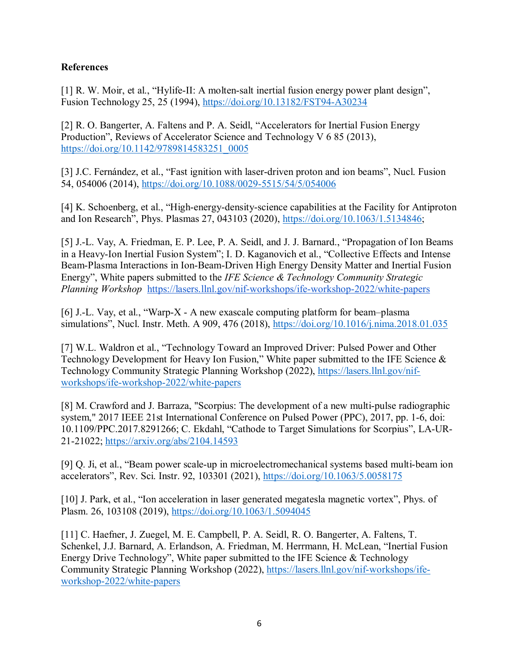## **References**

[1] R. W. Moir, et al., "Hylife-II: A molten-salt inertial fusion energy power plant design", Fusion Technology 25, 25 (1994),<https://doi.org/10.13182/FST94-A30234>

[2] R. O. Bangerter, A. Faltens and P. A. Seidl, "Accelerators for Inertial Fusion Energy Production", Reviews of Accelerator Science and Technology V 6 85 (2013), [https://doi.org/10.1142/9789814583251\\_0005](https://doi.org/10.1142/9789814583251_0005)

[3] J.C. Fernández, et al., "Fast ignition with laser-driven proton and ion beams", Nucl. Fusion 54, 054006 (2014),<https://doi.org/10.1088/0029-5515/54/5/054006>

[4] K. Schoenberg, et al., "High-energy-density-science capabilities at the Facility for Antiproton and Ion Research", Phys. Plasmas 27, 043103 (2020), [https://doi.org/10.1063/1.5134846;](https://doi.org/10.1063/1.5134846)

[5] J.-L. Vay, A. Friedman, E. P. Lee, P. A. Seidl, and J. J. Barnard., "Propagation of Ion Beams in a Heavy-Ion Inertial Fusion System"; I. D. Kaganovich et al., "Collective Effects and Intense Beam-Plasma Interactions in Ion-Beam-Driven High Energy Density Matter and Inertial Fusion Energy", White papers submitted to the *IFE Science & Technology Community Strategic Planning Workshop* <https://lasers.llnl.gov/nif-workshops/ife-workshop-2022/white-papers>

[6] J.-L. Vay, et al., "Warp-X - A new exascale computing platform for beam–plasma simulations", Nucl. Instr. Meth. A 909, 476 (2018),<https://doi.org/10.1016/j.nima.2018.01.035>

[7] W.L. Waldron et al., "Technology Toward an Improved Driver: Pulsed Power and Other Technology Development for Heavy Ion Fusion," White paper submitted to the IFE Science & Technology Community Strategic Planning Workshop (2022), [https://lasers.llnl.gov/nif](https://lasers.llnl.gov/nif-workshops/ife-workshop-2022/white-papers)[workshops/ife-workshop-2022/white-papers](https://lasers.llnl.gov/nif-workshops/ife-workshop-2022/white-papers)

[8] M. Crawford and J. Barraza, "Scorpius: The development of a new multi-pulse radiographic system," 2017 IEEE 21st International Conference on Pulsed Power (PPC), 2017, pp. 1-6, doi: 10.1109/PPC.2017.8291266; C. Ekdahl, "Cathode to Target Simulations for Scorpius", LA-UR-21-21022;<https://arxiv.org/abs/2104.14593>

[9] Q. Ji, et al., "Beam power scale-up in microelectromechanical systems based multi-beam ion accelerators", Rev. Sci. Instr. 92, 103301 (2021),<https://doi.org/10.1063/5.0058175>

[10] J. Park, et al., "Ion acceleration in laser generated megatesla magnetic vortex", Phys. of Plasm. 26, 103108 (2019),<https://doi.org/10.1063/1.5094045>

[11] C. Haefner, J. Zuegel, M. E. Campbell, P. A. Seidl, R. O. Bangerter, A. Faltens, T. Schenkel, J.J. Barnard, A. Erlandson, A. Friedman, M. Herrmann, H. McLean, "Inertial Fusion Energy Drive Technology", White paper submitted to the IFE Science & Technology Community Strategic Planning Workshop (2022), [https://lasers.llnl.gov/nif-workshops/ife](https://lasers.llnl.gov/nif-workshops/ife-workshop-2022/white-papers)[workshop-2022/white-papers](https://lasers.llnl.gov/nif-workshops/ife-workshop-2022/white-papers)